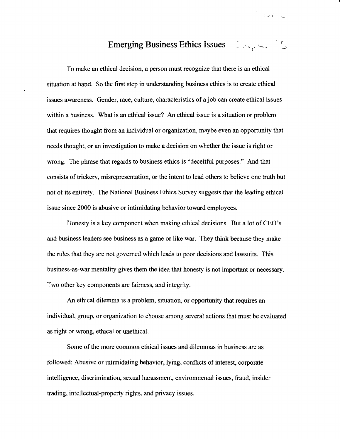## Emerging Business Ethics Issues Chapter 18

 $203 - 1$ 

To make an ethical decision, a person must recognize that there is an ethical situation at hand. So the first step in understanding business ethics is to create ethical issues awareness. Gender, race, culture, characteristics of a job can create ethical issues within a business. What is an ethical issue? An ethical issue is a situation or problem that requires thought from an individual or organization, maybe even an opportunity that needs thought, or an investigation to make a decision on whether the issue is right or wrong. The phrase that regards to business ethics is "deceitful purposes." And that consists of trickery, misrepresentation, or the intent to lead others to believe one truth but not of its entirety. The National Business Ethics Survey suggests that the leading ethical issue since 2000 is abusive or intimidating behavior toward employees.

Honesty is a key component when making ethical decisions. But a lot of CEO's and business leaders see business as a game or like war. They think because they make the rules that they are not governed which leads to poor decisions and lawsuits. This business-as-war mentality gives them the idea that honesty is not important or necessary. Two other key components are fairness, and integrity.

An ethical dilemma is a problem, situation, or opportunity that requires an individual, group, or organization to choose among several actions that must be evaluated as right or wrong, ethical or unethical.

Some of the more common ethical issues and dilemmas in business are as followed: Abusive or intimidating behavior, lying, conflicts of interest, corporate intelligence, discrimination, sexual harassment, environmental issues, fraud, insider trading, intellectual-property rights, and privacy issues.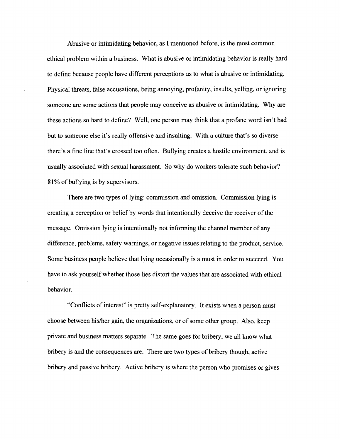Abusive or intimidating behavior, as I mentioned before, is the most common ethical problem within a business. What is abusive or intimidating behavior is really hard to define because people have different perceptions as to what is abusive or intimidating. Physical threats, false accusations, being annoying, profanity, insults, yelling, or ignoring someone are some actions that people may conceive as abusive or intimidating. Why are these actions so hard to define? Well, one person may think that a profane word isn't bad but to someone else it's really offensive and insulting. With a culture that's so diverse there's a fine line that's crossed too often. Bullying creates a hostile environment, and is usually associated with sexual harassment. So why do workers tolerate such behavior? 81% of bullying is by supervisors.

There are two types of lying: commission and omission. Commission lying is creating a perception or belief by words that intentionally deceive the receiver of the message. Omission lying is intentionally not informing the channel member of any difference, problems, safety warnings, or negative issues relating to the product, service. Some business people believe that lying occasionally is a must in order to succeed. You have to ask yourself whether those lies distort the values that are associated with ethical behavior.

"Conflicts of interest" is pretty self-explanatory. It exists when a person must choose between his/her gain, the organizations, or of some other group. Also, keep private and business matters separate. The same goes for bribery, we all know what bribery is and the consequences are. There are two types of bribery though, active bribery and passive bribery. Active bribery is where the person who promises or gives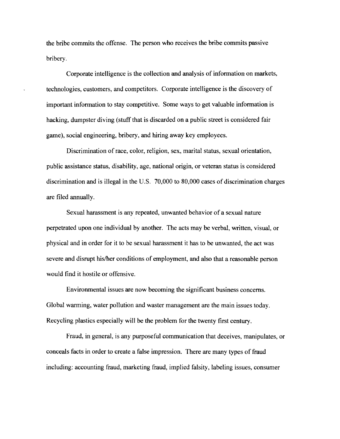the bribe commits the offense. The person who receives the bribe commits passive bribery.

Corporate intelligence is the collection and analysis of information on markets, technologies, customers, and competitors. Corporate intelligence is the discovery of important information to stay competitive. Some ways to get valuable information is hacking, dumpster diving (stuff that is discarded on a public street is considered fair game), social engineering, bribery, and hiring away key employees.

Discrimination of race, color, religion, sex, marital status, sexual orientation, public assistance status, disability, age, national origin, or veteran status is considered discrimination and is illegal in the U.S. 70,000 to 80,000 cases of discrimination charges are filed annually.

Sexual harassment is any repeated, unwanted behavior of a sexual nature perpetrated upon one individual by another. The acts may be verbal, written, visual, or physical and in order for it to be sexual harassment it has to be unwanted, the act was severe and disrupt his/her conditions of employment, and also that a reasonable person would find it hostile or offensive.

Environmental issues are now becoming the significant business concerns. Global warming, water pollution and waster management are the main issues today. Recycling plastics especially will be the problem for the twenty first century.

Fraud, in general, is any purposeful communication that deceives, manipulates, or conceals facts in order to create a false impression. There are many types of fraud including: accounting fraud, marketing fraud, implied falsity, labeling issues, consumer